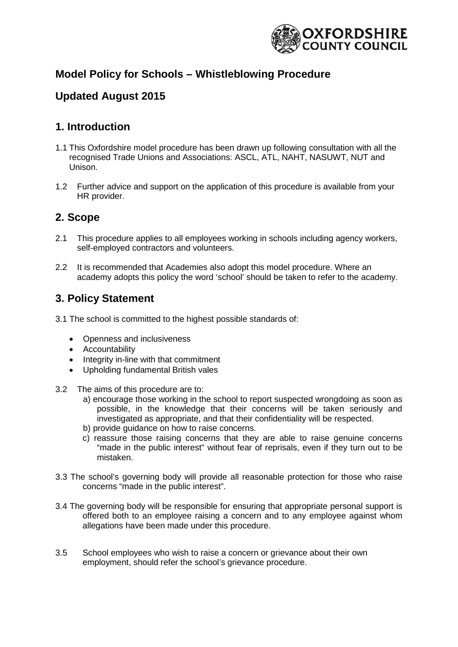

### **Model Policy for Schools – Whistleblowing Procedure**

### **Updated August 2015**

### **1. Introduction**

- 1.1 This Oxfordshire model procedure has been drawn up following consultation with all the recognised Trade Unions and Associations: ASCL, ATL, NAHT, NASUWT, NUT and Unison.
- 1.2 Further advice and support on the application of this procedure is available from your HR provider.

### **2. Scope**

- 2.1 This procedure applies to all employees working in schools including agency workers, self-employed contractors and volunteers.
- 2.2 It is recommended that Academies also adopt this model procedure. Where an academy adopts this policy the word 'school' should be taken to refer to the academy.

### **3. Policy Statement**

3.1 The school is committed to the highest possible standards of:

- Openness and inclusiveness
- Accountability
- Integrity in-line with that commitment
- Upholding fundamental British vales
- 3.2 The aims of this procedure are to:
	- a) encourage those working in the school to report suspected wrongdoing as soon as possible, in the knowledge that their concerns will be taken seriously and investigated as appropriate, and that their confidentiality will be respected.
	- b) provide guidance on how to raise concerns.
	- c) reassure those raising concerns that they are able to raise genuine concerns "made in the public interest" without fear of reprisals, even if they turn out to be mistaken.
- 3.3 The school's governing body will provide all reasonable protection for those who raise concerns "made in the public interest".
- 3.4 The governing body will be responsible for ensuring that appropriate personal support is offered both to an employee raising a concern and to any employee against whom allegations have been made under this procedure.
- 3.5 School employees who wish to raise a concern or grievance about their own employment, should refer the school's grievance procedure.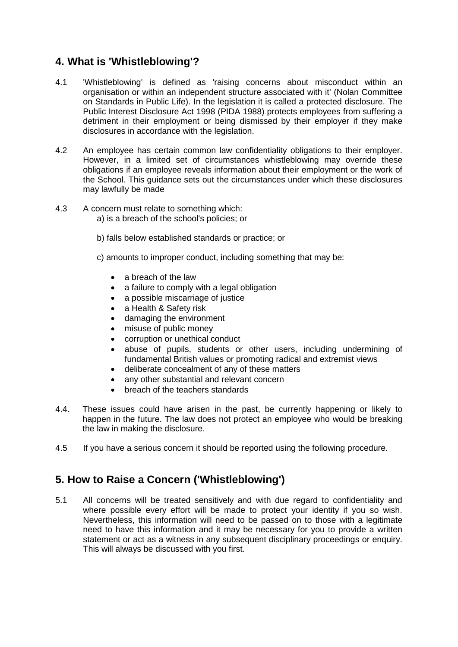### **4. What is 'Whistleblowing'?**

- 4.1 'Whistleblowing' is defined as 'raising concerns about misconduct within an organisation or within an independent structure associated with it' (Nolan Committee on Standards in Public Life). In the legislation it is called a protected disclosure. The Public Interest Disclosure Act 1998 (PIDA 1988) protects employees from suffering a detriment in their employment or being dismissed by their employer if they make disclosures in accordance with the legislation.
- 4.2 An employee has certain common law confidentiality obligations to their employer. However, in a limited set of circumstances whistleblowing may override these obligations if an employee reveals information about their employment or the work of the School. This guidance sets out the circumstances under which these disclosures may lawfully be made
- 4.3 A concern must relate to something which:
	- a) is a breach of the school's policies; or
	- b) falls below established standards or practice; or
	- c) amounts to improper conduct, including something that may be:
		- a breach of the law
		- a failure to comply with a legal obligation
		- a possible miscarriage of justice
		- a Health & Safety risk
		- damaging the environment
		- misuse of public money
		- corruption or unethical conduct
		- abuse of pupils, students or other users, including undermining of fundamental British values or promoting radical and extremist views
		- deliberate concealment of any of these matters
		- any other substantial and relevant concern
		- breach of the teachers standards
- 4.4. These issues could have arisen in the past, be currently happening or likely to happen in the future. The law does not protect an employee who would be breaking the law in making the disclosure.
- 4.5 If you have a serious concern it should be reported using the following procedure.

### **5. How to Raise a Concern ('Whistleblowing')**

5.1 All concerns will be treated sensitively and with due regard to confidentiality and where possible every effort will be made to protect your identity if you so wish. Nevertheless, this information will need to be passed on to those with a legitimate need to have this information and it may be necessary for you to provide a written statement or act as a witness in any subsequent disciplinary proceedings or enquiry. This will always be discussed with you first.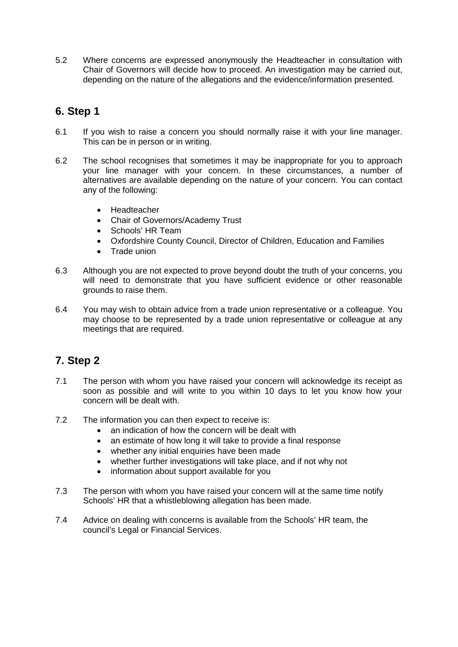5.2 Where concerns are expressed anonymously the Headteacher in consultation with Chair of Governors will decide how to proceed. An investigation may be carried out, depending on the nature of the allegations and the evidence/information presented.

### **6. Step 1**

- 6.1 If you wish to raise a concern you should normally raise it with your line manager. This can be in person or in writing.
- 6.2 The school recognises that sometimes it may be inappropriate for you to approach your line manager with your concern. In these circumstances, a number of alternatives are available depending on the nature of your concern. You can contact any of the following:
	- Headteacher
	- Chair of Governors/Academy Trust
	- Schools' HR Team
	- Oxfordshire County Council, Director of Children, Education and Families
	- Trade union
- 6.3 Although you are not expected to prove beyond doubt the truth of your concerns, you will need to demonstrate that you have sufficient evidence or other reasonable grounds to raise them.
- 6.4 You may wish to obtain advice from a trade union representative or a colleague. You may choose to be represented by a trade union representative or colleague at any meetings that are required.

### **7. Step 2**

- 7.1 The person with whom you have raised your concern will acknowledge its receipt as soon as possible and will write to you within 10 days to let you know how your concern will be dealt with.
- 7.2 The information you can then expect to receive is:
	- an indication of how the concern will be dealt with
	- an estimate of how long it will take to provide a final response
	- whether any initial enquiries have been made
	- whether further investigations will take place, and if not why not
	- information about support available for you
- 7.3 The person with whom you have raised your concern will at the same time notify Schools' HR that a whistleblowing allegation has been made.
- 7.4 Advice on dealing with concerns is available from the Schools' HR team, the council's Legal or Financial Services.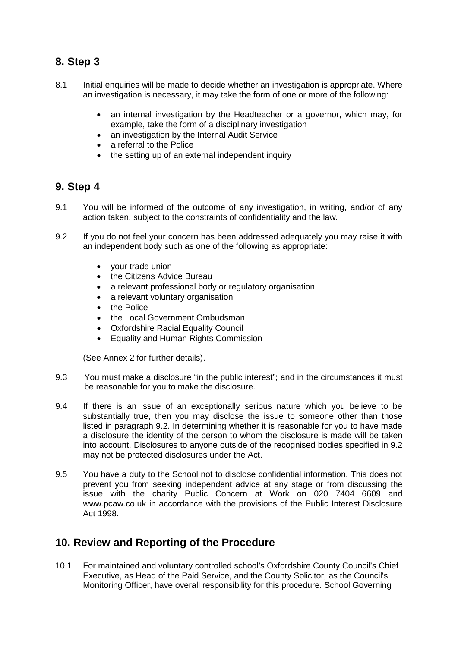### **8. Step 3**

- 8.1 Initial enquiries will be made to decide whether an investigation is appropriate. Where an investigation is necessary, it may take the form of one or more of the following:
	- an internal investigation by the Headteacher or a governor, which may, for example, take the form of a disciplinary investigation
	- an investigation by the Internal Audit Service
	- a referral to the Police
	- the setting up of an external independent inquiry

### **9. Step 4**

- 9.1 You will be informed of the outcome of any investigation, in writing, and/or of any action taken, subject to the constraints of confidentiality and the law.
- 9.2 If you do not feel your concern has been addressed adequately you may raise it with an independent body such as one of the following as appropriate:
	- your trade union
	- the Citizens Advice Bureau
	- a relevant professional body or regulatory organisation
	- a relevant voluntary organisation
	- the Police
	- the Local Government Ombudsman
	- **Oxfordshire Racial Equality Council**
	- Equality and Human Rights Commission

(See Annex 2 for further details).

- 9.3 You must make a disclosure "in the public interest"; and in the circumstances it must be reasonable for you to make the disclosure.
- 9.4 If there is an issue of an exceptionally serious nature which you believe to be substantially true, then you may disclose the issue to someone other than those listed in paragraph 9.2. In determining whether it is reasonable for you to have made a disclosure the identity of the person to whom the disclosure is made will be taken into account. Disclosures to anyone outside of the recognised bodies specified in 9.2 may not be protected disclosures under the Act.
- 9.5 You have a duty to the School not to disclose confidential information. This does not prevent you from seeking independent advice at any stage or from discussing the issue with the charity Public Concern at Work on 020 7404 6609 and www.pcaw.co.uk in accordance with the provisions of the Public Interest Disclosure Act 1998.

### **10. Review and Reporting of the Procedure**

10.1 For maintained and voluntary controlled school's Oxfordshire County Council's Chief Executive, as Head of the Paid Service, and the County Solicitor, as the Council's Monitoring Officer, have overall responsibility for this procedure. School Governing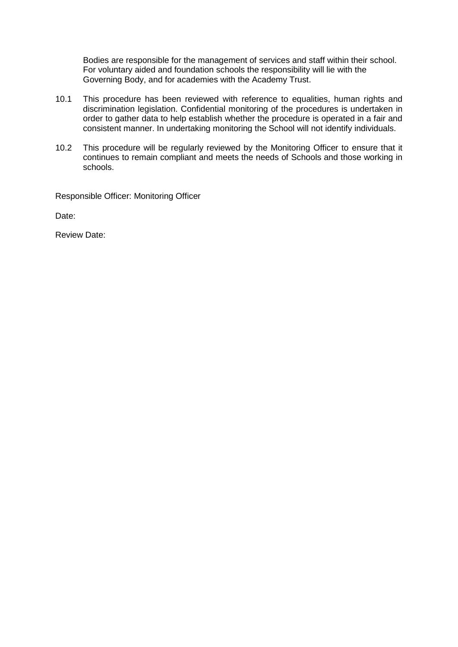Bodies are responsible for the management of services and staff within their school. For voluntary aided and foundation schools the responsibility will lie with the Governing Body, and for academies with the Academy Trust.

- 10.1 This procedure has been reviewed with reference to equalities, human rights and discrimination legislation. Confidential monitoring of the procedures is undertaken in order to gather data to help establish whether the procedure is operated in a fair and consistent manner. In undertaking monitoring the School will not identify individuals.
- 10.2 This procedure will be regularly reviewed by the Monitoring Officer to ensure that it continues to remain compliant and meets the needs of Schools and those working in schools.

Responsible Officer: Monitoring Officer

Date:

Review Date: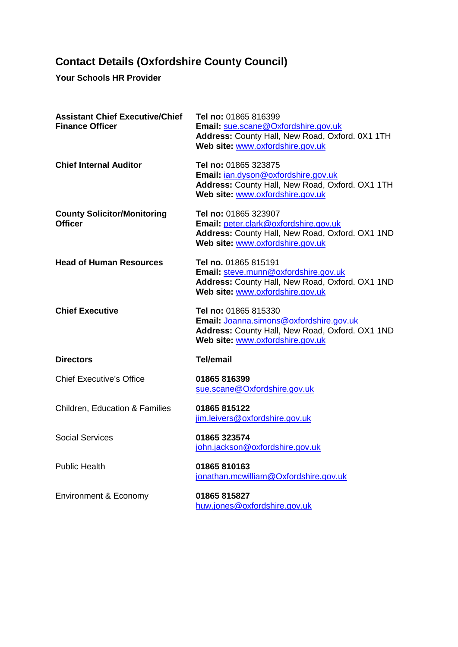# **Contact Details (Oxfordshire County Council)**

**Your Schools HR Provider**

| <b>Assistant Chief Executive/Chief</b><br><b>Finance Officer</b> | Tel no: 01865 816399<br>Email: sue.scane@Oxfordshire.gov.uk<br>Address: County Hall, New Road, Oxford. 0X1 1TH<br>Web site: www.oxfordshire.gov.uk     |
|------------------------------------------------------------------|--------------------------------------------------------------------------------------------------------------------------------------------------------|
| <b>Chief Internal Auditor</b>                                    | Tel no: 01865 323875<br>Email: jan.dyson@oxfordshire.gov.uk<br>Address: County Hall, New Road, Oxford. OX1 1TH<br>Web site: www.oxfordshire.gov.uk     |
| <b>County Solicitor/Monitoring</b><br><b>Officer</b>             | Tel no: 01865 323907<br>Email: peter.clark@oxfordshire.gov.uk<br>Address: County Hall, New Road, Oxford. OX1 1ND<br>Web site: www.oxfordshire.gov.uk   |
| <b>Head of Human Resources</b>                                   | Tel no. 01865 815191<br>Email: steve.munn@oxfordshire.gov.uk<br>Address: County Hall, New Road, Oxford. OX1 1ND<br>Web site: www.oxfordshire.gov.uk    |
| <b>Chief Executive</b>                                           | Tel no: 01865 815330<br>Email: Joanna.simons@oxfordshire.gov.uk<br>Address: County Hall, New Road, Oxford. OX1 1ND<br>Web site: www.oxfordshire.gov.uk |
| <b>Directors</b>                                                 | <b>Tel/email</b>                                                                                                                                       |
| <b>Chief Executive's Office</b>                                  | 01865 816399<br>sue.scane@Oxfordshire.gov.uk                                                                                                           |
| <b>Children, Education &amp; Families</b>                        | 01865 815122<br>jim.leivers@oxfordshire.gov.uk                                                                                                         |
| <b>Social Services</b>                                           | 01865 323574<br>john.jackson@oxfordshire.gov.uk                                                                                                        |
| <b>Public Health</b>                                             | 01865 810163<br>jonathan.mcwilliam@Oxfordshire.gov.uk                                                                                                  |
| Environment & Economy                                            | 01865 815827<br>huw.jones@oxfordshire.gov.uk                                                                                                           |